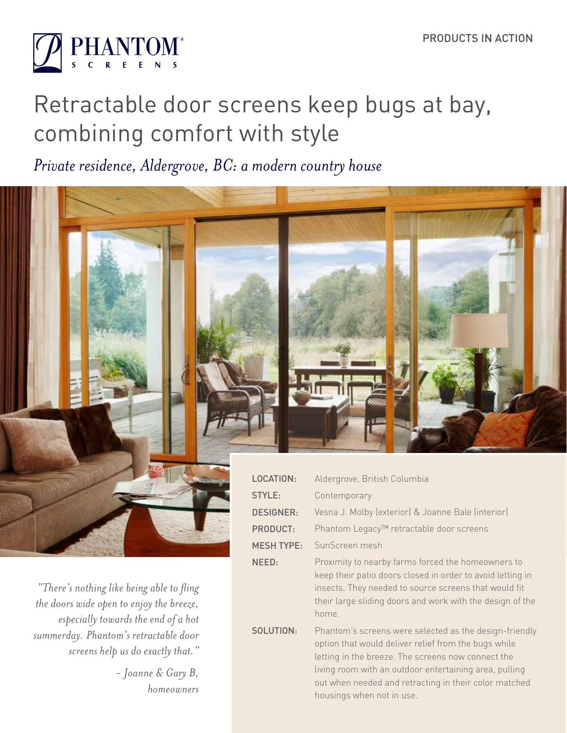

# Retractable door screens keep bugs at bay, combining comfort with style

*Private residence, Aldergrove, BC: a modern country house*



SOLUTION:

home.

housings when not in use.

keep their patio doors closed in order to avoid letting in insects. They needed to source screens that would fit their large sliding doors and work with the design of the

Phantom's screens were selected as the design-friendly option that would deliver relief from the bugs while letting in the breeze. The screens now connect the living room with an outdoor entertaining area, pulling out when needed and retracting in their color matched

*"There's nothing like being able to fling the doors wide open to enjoy the breeze, especially towards the end of a hot summerday. Phantom's retractable door screens help us do exactly that."* 

> *- Joanne & Gary B, homeowners*